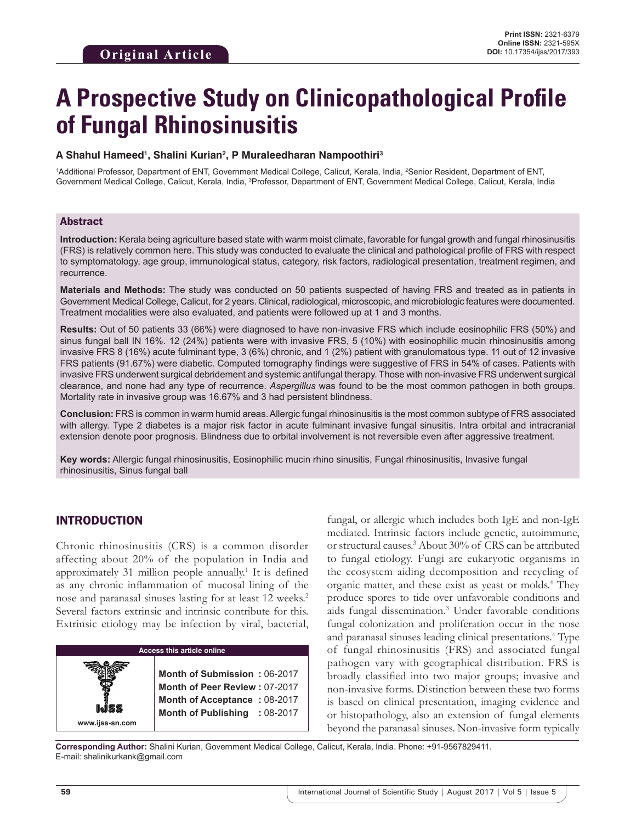# **A Prospective Study on Clinicopathological Profile of Fungal Rhinosinusitis**

#### **A Shahul Hameed1 , Shalini Kurian2 , P Muraleedharan Nampoothiri3**

1 Additional Professor, Department of ENT, Government Medical College, Calicut, Kerala, India, 2 Senior Resident, Department of ENT, Government Medical College, Calicut, Kerala, India, <sup>3</sup>Professor, Department of ENT, Government Medical College, Calicut, Kerala, India

#### Abstract

**Introduction:** Kerala being agriculture based state with warm moist climate, favorable for fungal growth and fungal rhinosinusitis (FRS) is relatively common here. This study was conducted to evaluate the clinical and pathological profile of FRS with respect to symptomatology, age group, immunological status, category, risk factors, radiological presentation, treatment regimen, and recurrence.

**Materials and Methods:** The study was conducted on 50 patients suspected of having FRS and treated as in patients in Government Medical College, Calicut, for 2 years. Clinical, radiological, microscopic, and microbiologic features were documented. Treatment modalities were also evaluated, and patients were followed up at 1 and 3 months.

**Results:** Out of 50 patients 33 (66%) were diagnosed to have non-invasive FRS which include eosinophilic FRS (50%) and sinus fungal ball IN 16%. 12 (24%) patients were with invasive FRS, 5 (10%) with eosinophilic mucin rhinosinusitis among invasive FRS 8 (16%) acute fulminant type, 3 (6%) chronic, and 1 (2%) patient with granulomatous type. 11 out of 12 invasive FRS patients (91.67%) were diabetic. Computed tomography findings were suggestive of FRS in 54% of cases. Patients with invasive FRS underwent surgical debridement and systemic antifungal therapy. Those with non-invasive FRS underwent surgical clearance, and none had any type of recurrence. *Aspergillus* was found to be the most common pathogen in both groups. Mortality rate in invasive group was 16.67% and 3 had persistent blindness.

**Conclusion:** FRS is common in warm humid areas. Allergic fungal rhinosinusitis is the most common subtype of FRS associated with allergy. Type 2 diabetes is a major risk factor in acute fulminant invasive fungal sinusitis. Intra orbital and intracranial extension denote poor prognosis. Blindness due to orbital involvement is not reversible even after aggressive treatment.

**Key words:** Allergic fungal rhinosinusitis, Eosinophilic mucin rhino sinusitis, Fungal rhinosinusitis, Invasive fungal rhinosinusitis, Sinus fungal ball

## INTRODUCTION

Chronic rhinosinusitis (CRS) is a common disorder affecting about 20% of the population in India and approximately 31 million people annually.<sup>1</sup> It is defined as any chronic inflammation of mucosal lining of the nose and paranasal sinuses lasting for at least 12 weeks.<sup>2</sup> Several factors extrinsic and intrinsic contribute for this. Extrinsic etiology may be infection by viral, bacterial,

| <b>Access this article online</b> |                                                                                                                                |  |
|-----------------------------------|--------------------------------------------------------------------------------------------------------------------------------|--|
| www.ijss-sn.com                   | Month of Submission: 06-2017<br>Month of Peer Review: 07-2017<br>Month of Acceptance: 08-2017<br>Month of Publishing : 08-2017 |  |

fungal, or allergic which includes both IgE and non-IgE mediated. Intrinsic factors include genetic, autoimmune, or structural causes.3 About 30% of CRS can be attributed to fungal etiology. Fungi are eukaryotic organisms in the ecosystem aiding decomposition and recycling of organic matter, and these exist as yeast or molds.<sup>4</sup> They produce spores to tide over unfavorable conditions and aids fungal dissemination.3 Under favorable conditions fungal colonization and proliferation occur in the nose and paranasal sinuses leading clinical presentations.4 Type of fungal rhinosinusitis (FRS) and associated fungal pathogen vary with geographical distribution. FRS is broadly classified into two major groups; invasive and non-invasive forms. Distinction between these two forms is based on clinical presentation, imaging evidence and or histopathology, also an extension of fungal elements beyond the paranasal sinuses. Non-invasive form typically

**Corresponding Author:** Shalini Kurian, Government Medical College, Calicut, Kerala, India. Phone: +91-9567829411. E-mail: shalinikurkank@gmail.com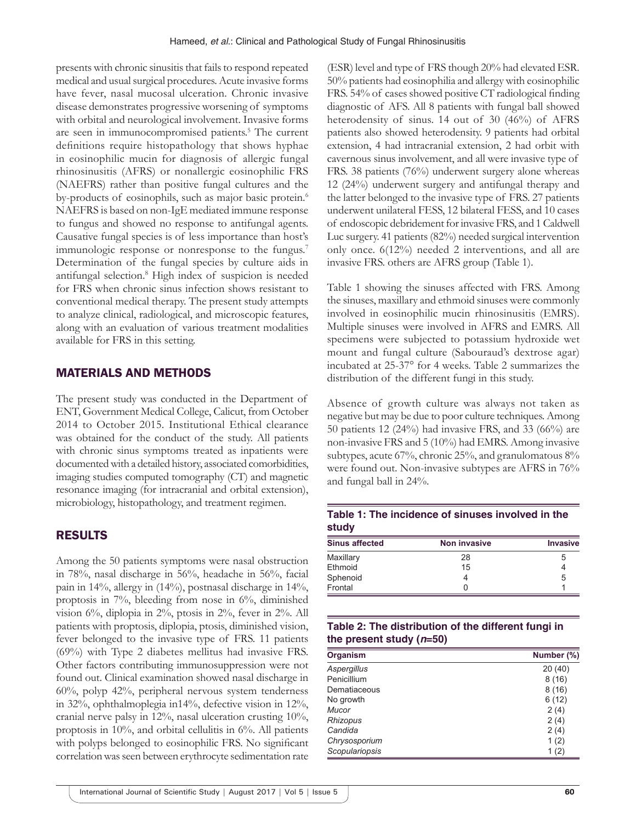presents with chronic sinusitis that fails to respond repeated medical and usual surgical procedures. Acute invasive forms have fever, nasal mucosal ulceration. Chronic invasive disease demonstrates progressive worsening of symptoms with orbital and neurological involvement. Invasive forms are seen in immunocompromised patients.<sup>5</sup> The current definitions require histopathology that shows hyphae in eosinophilic mucin for diagnosis of allergic fungal rhinosinusitis (AFRS) or nonallergic eosinophilic FRS (NAEFRS) rather than positive fungal cultures and the by-products of eosinophils, such as major basic protein.<sup>6</sup> NAEFRS is based on non-IgE mediated immune response to fungus and showed no response to antifungal agents. Causative fungal species is of less importance than host's immunologic response or nonresponse to the fungus.<sup>7</sup> Determination of the fungal species by culture aids in antifungal selection.<sup>8</sup> High index of suspicion is needed for FRS when chronic sinus infection shows resistant to conventional medical therapy. The present study attempts to analyze clinical, radiological, and microscopic features, along with an evaluation of various treatment modalities available for FRS in this setting.

# MATERIALS AND METHODS

The present study was conducted in the Department of ENT, Government Medical College, Calicut, from October 2014 to October 2015. Institutional Ethical clearance was obtained for the conduct of the study. All patients with chronic sinus symptoms treated as inpatients were documented with a detailed history, associated comorbidities, imaging studies computed tomography (CT) and magnetic resonance imaging (for intracranial and orbital extension), microbiology, histopathology, and treatment regimen.

# RESULTS

Among the 50 patients symptoms were nasal obstruction in 78%, nasal discharge in 56%, headache in 56%, facial pain in 14%, allergy in (14%), postnasal discharge in 14%, proptosis in 7%, bleeding from nose in 6%, diminished vision 6%, diplopia in 2%, ptosis in 2%, fever in 2%. All patients with proptosis, diplopia, ptosis, diminished vision, fever belonged to the invasive type of FRS. 11 patients (69%) with Type 2 diabetes mellitus had invasive FRS. Other factors contributing immunosuppression were not found out. Clinical examination showed nasal discharge in 60%, polyp 42%, peripheral nervous system tenderness in 32%, ophthalmoplegia in14%, defective vision in 12%, cranial nerve palsy in 12%, nasal ulceration crusting 10%, proptosis in 10%, and orbital cellulitis in 6%. All patients with polyps belonged to eosinophilic FRS. No significant correlation was seen between erythrocyte sedimentation rate

(ESR) level and type of FRS though 20% had elevated ESR. 50% patients had eosinophilia and allergy with eosinophilic FRS. 54% of cases showed positive CT radiological finding diagnostic of AFS. All 8 patients with fungal ball showed heterodensity of sinus. 14 out of 30 (46%) of AFRS patients also showed heterodensity. 9 patients had orbital extension, 4 had intracranial extension, 2 had orbit with cavernous sinus involvement, and all were invasive type of FRS. 38 patients (76%) underwent surgery alone whereas 12 (24%) underwent surgery and antifungal therapy and the latter belonged to the invasive type of FRS. 27 patients underwent unilateral FESS, 12 bilateral FESS, and 10 cases of endoscopic debridement for invasive FRS, and 1 Caldwell Luc surgery. 41 patients (82%) needed surgical intervention only once. 6(12%) needed 2 interventions, and all are invasive FRS. others are AFRS group (Table 1).

Table 1 showing the sinuses affected with FRS. Among the sinuses, maxillary and ethmoid sinuses were commonly involved in eosinophilic mucin rhinosinusitis (EMRS). Multiple sinuses were involved in AFRS and EMRS. All specimens were subjected to potassium hydroxide wet mount and fungal culture (Sabouraud's dextrose agar) incubated at 25-37° for 4 weeks. Table 2 summarizes the distribution of the different fungi in this study.

Absence of growth culture was always not taken as negative but may be due to poor culture techniques. Among 50 patients 12 (24%) had invasive FRS, and 33 (66%) are non-invasive FRS and 5 (10%) had EMRS. Among invasive subtypes, acute 67%, chronic 25%, and granulomatous 8% were found out. Non-invasive subtypes are AFRS in 76% and fungal ball in 24%.

## **Table 1: The incidence of sinuses involved in the study**

| <b>Sinus affected</b> | <b>Non invasive</b> | <b>Invasive</b> |
|-----------------------|---------------------|-----------------|
| Maxillary             | 28                  | 5               |
| Ethmoid               | 15                  |                 |
| Sphenoid              |                     | 5               |
| Frontal               |                     |                 |

## **Table 2: The distribution of the different fungi in the present study (***n***=50)**

| <b>Organism</b> | Number (%) |
|-----------------|------------|
| Aspergillus     | 20 (40)    |
| Penicillium     | 8(16)      |
| Dematiaceous    | 8(16)      |
| No growth       | 6(12)      |
| Mucor           | 2(4)       |
| Rhizopus        | 2(4)       |
| Candida         | 2(4)       |
| Chrysosporium   | 1(2)       |
| Scopulariopsis  | 1(2)       |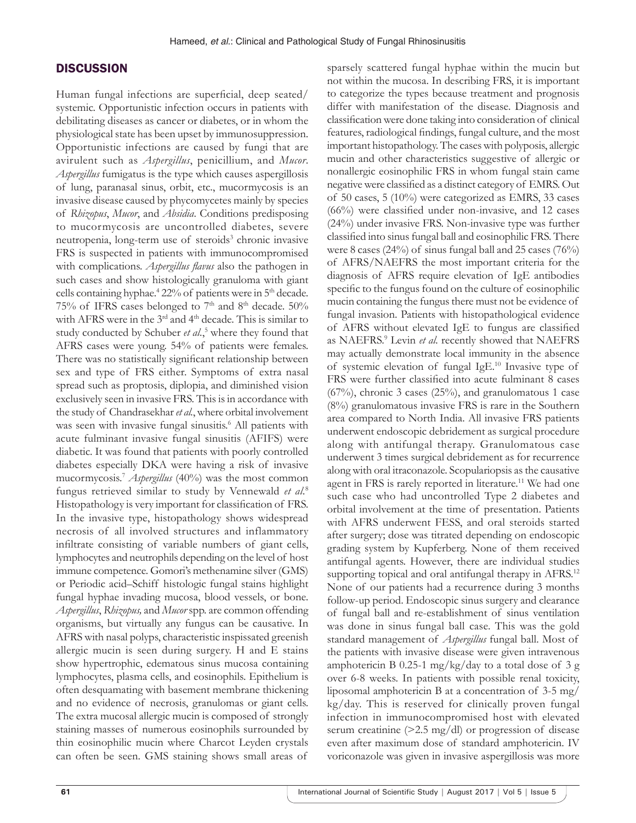#### **DISCUSSION**

Human fungal infections are superficial, deep seated/ systemic. Opportunistic infection occurs in patients with debilitating diseases as cancer or diabetes, or in whom the physiological state has been upset by immunosuppression. Opportunistic infections are caused by fungi that are avirulent such as *Aspergillus*, penicillium, and *Mucor*. *Aspergillus* fumigatus is the type which causes aspergillosis of lung, paranasal sinus, orbit, etc., mucormycosis is an invasive disease caused by phycomycetes mainly by species of *Rhizopus*, *Mucor*, and *Absidia*. Conditions predisposing to mucormycosis are uncontrolled diabetes, severe neutropenia, long-term use of steroids<sup>3</sup> chronic invasive FRS is suspected in patients with immunocompromised with complications. *Aspergillus flavus* also the pathogen in such cases and show histologically granuloma with giant cells containing hyphae.<sup>4</sup> 22% of patients were in 5<sup>th</sup> decade. 75% of IFRS cases belonged to 7<sup>th</sup> and 8<sup>th</sup> decade. 50% with AFRS were in the 3<sup>rd</sup> and 4<sup>th</sup> decade. This is similar to study conducted by Schuber et al.,<sup>5</sup> where they found that AFRS cases were young. 54% of patients were females. There was no statistically significant relationship between sex and type of FRS either. Symptoms of extra nasal spread such as proptosis, diplopia, and diminished vision exclusively seen in invasive FRS. This is in accordance with the study of Chandrasekhar *et al.*, where orbital involvement was seen with invasive fungal sinusitis.<sup>6</sup> All patients with acute fulminant invasive fungal sinusitis (AFIFS) were diabetic. It was found that patients with poorly controlled diabetes especially DKA were having a risk of invasive mucormycosis.7 *Aspergillus* (40%) was the most common fungus retrieved similar to study by Vennewald *et al*. 8 Histopathology is very important for classification of FRS. In the invasive type, histopathology shows widespread necrosis of all involved structures and inflammatory infiltrate consisting of variable numbers of giant cells, lymphocytes and neutrophils depending on the level of host immune competence. Gomori's methenamine silver (GMS) or Periodic acid–Schiff histologic fungal stains highlight fungal hyphae invading mucosa, blood vessels, or bone. *Aspergillus*, *Rhizopus,* and *Mucor* spp. are common offending organisms, but virtually any fungus can be causative. In AFRS with nasal polyps, characteristic inspissated greenish allergic mucin is seen during surgery. H and E stains show hypertrophic, edematous sinus mucosa containing lymphocytes, plasma cells, and eosinophils. Epithelium is often desquamating with basement membrane thickening and no evidence of necrosis, granulomas or giant cells. The extra mucosal allergic mucin is composed of strongly staining masses of numerous eosinophils surrounded by thin eosinophilic mucin where Charcot Leyden crystals can often be seen. GMS staining shows small areas of

sparsely scattered fungal hyphae within the mucin but not within the mucosa. In describing FRS, it is important to categorize the types because treatment and prognosis differ with manifestation of the disease. Diagnosis and classification were done taking into consideration of clinical features, radiological findings, fungal culture, and the most important histopathology. The cases with polyposis, allergic mucin and other characteristics suggestive of allergic or nonallergic eosinophilic FRS in whom fungal stain came negative were classified as a distinct category of EMRS. Out of 50 cases, 5 (10%) were categorized as EMRS, 33 cases (66%) were classified under non-invasive, and 12 cases (24%) under invasive FRS. Non-invasive type was further classified into sinus fungal ball and eosinophilic FRS. There were 8 cases (24%) of sinus fungal ball and 25 cases (76%) of AFRS/NAEFRS the most important criteria for the diagnosis of AFRS require elevation of IgE antibodies specific to the fungus found on the culture of eosinophilic mucin containing the fungus there must not be evidence of fungal invasion. Patients with histopathological evidence of AFRS without elevated IgE to fungus are classified as NAEFRS.<sup>9</sup> Levin et al. recently showed that NAEFRS may actually demonstrate local immunity in the absence of systemic elevation of fungal IgE.10 Invasive type of FRS were further classified into acute fulminant 8 cases (67%), chronic 3 cases (25%), and granulomatous 1 case (8%) granulomatous invasive FRS is rare in the Southern area compared to North India. All invasive FRS patients underwent endoscopic debridement as surgical procedure along with antifungal therapy. Granulomatous case underwent 3 times surgical debridement as for recurrence along with oral itraconazole. Scopulariopsis as the causative agent in FRS is rarely reported in literature.<sup>11</sup> We had one such case who had uncontrolled Type 2 diabetes and orbital involvement at the time of presentation. Patients with AFRS underwent FESS, and oral steroids started after surgery; dose was titrated depending on endoscopic grading system by Kupferberg. None of them received antifungal agents. However, there are individual studies supporting topical and oral antifungal therapy in AFRS.<sup>12</sup> None of our patients had a recurrence during 3 months follow-up period. Endoscopic sinus surgery and clearance of fungal ball and re-establishment of sinus ventilation was done in sinus fungal ball case. This was the gold standard management of *Aspergillus* fungal ball. Most of the patients with invasive disease were given intravenous amphotericin B 0.25-1 mg/kg/day to a total dose of 3 g over 6-8 weeks. In patients with possible renal toxicity, liposomal amphotericin B at a concentration of 3-5 mg/ kg/day. This is reserved for clinically proven fungal infection in immunocompromised host with elevated serum creatinine (>2.5 mg/dl) or progression of disease even after maximum dose of standard amphotericin. IV voriconazole was given in invasive aspergillosis was more